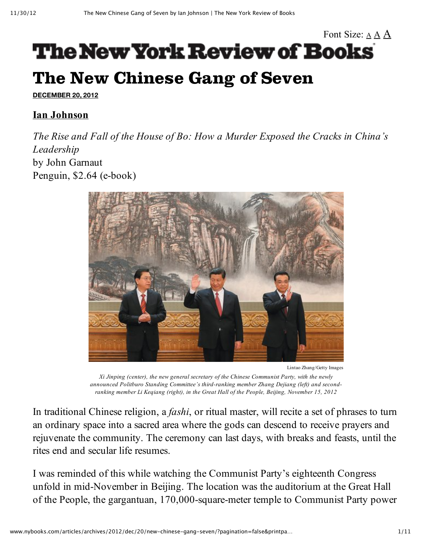# Font Size: [A](http://www.nybooks.com/articles/archives/2012/dec/20/new-chinese-gang-seven/?pagination=false&printpage=true#) A A **The New York Review of Books** The New Chinese Gang of Seven

**[DECEMBER](http://www.nybooks.com/issues/2012/dec/20/) 20, 2012**

### **Ian [Johnson](http://www.nybooks.com/contributors/ian-johnson/)**

*The Rise and Fall of the House of Bo: How a Murder Exposed the Cracks in China's Leadership* by John Garnaut Penguin, \$2.64 (e-book)



Lintao Zhang/Getty Images

*Xi Jinping (center), the new general secretary of the Chinese Communist Party, with the newly announced Politburo Standing Committee's third-ranking member Zhang Dejiang (left) and secondranking member Li Keqiang (right), in the Great Hall of the People, Beijing, November 15, 2012*

In traditional Chinese religion, a *fashi*, or ritual master, will recite a set of phrases to turn an ordinary space into a sacred area where the gods can descend to receive prayers and rejuvenate the community. The ceremony can last days, with breaks and feasts, until the rites end and secular life resumes.

I was reminded of this while watching the Communist Party's eighteenth Congress unfold in mid-November in Beijing. The location was the auditorium at the Great Hall of the People, the gargantuan, 170,000-square-meter temple to Communist Party power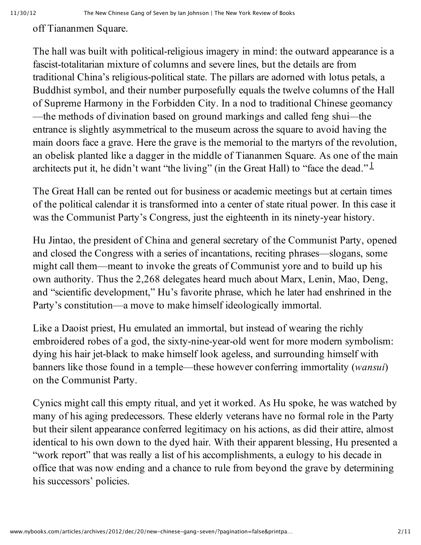#### off Tiananmen Square.

The hall was built with political-religious imagery in mind: the outward appearance is a fascist-totalitarian mixture of columns and severe lines, but the details are from traditional China's religious-political state. The pillars are adorned with lotus petals, a Buddhist symbol, and their number purposefully equals the twelve columns of the Hall of Supreme Harmony in the Forbidden City. In a nod to traditional Chinese geomancy —the methods of divination based on ground markings and called feng shui*—*the entrance is slightly asymmetrical to the museum across the square to avoid having the main doors face a grave. Here the grave is the memorial to the martyrs of the revolution, an obelisk planted like a dagger in the middle of Tiananmen Square. As one of the main architects put it, he didn't want "the living" (in the Great Hall) to "face the dead."  $\frac{1}{2}$  $\frac{1}{2}$  $\frac{1}{2}$ 

The Great Hall can be rented out for business or academic meetings but at certain times of the political calendar it is transformed into a center of state ritual power. In this case it was the Communist Party's Congress, just the eighteenth in its ninety-year history.

Hu Jintao, the president of China and general secretary of the Communist Party, opened and closed the Congress with a series of incantations, reciting phrases—slogans, some might call them—meant to invoke the greats of Communist yore and to build up his own authority. Thus the 2,268 delegates heard much about Marx, Lenin, Mao, Deng, and "scientific development," Hu's favorite phrase, which he later had enshrined in the Party's constitution—a move to make himself ideologically immortal.

Like a Daoist priest, Hu emulated an immortal, but instead of wearing the richly embroidered robes of a god, the sixty-nine-year-old went for more modern symbolism: dying his hair jet-black to make himself look ageless, and surrounding himself with banners like those found in a temple—these however conferring immortality (*wansui*) on the Communist Party.

Cynics might call this empty ritual, and yet it worked. As Hu spoke, he was watched by many of his aging predecessors. These elderly veterans have no formal role in the Party but their silent appearance conferred legitimacy on his actions, as did their attire, almost identical to his own down to the dyed hair. With their apparent blessing, Hu presented a "work report" that was really a list of his accomplishments, a eulogy to his decade in office that was now ending and a chance to rule from beyond the grave by determining his successors' policies.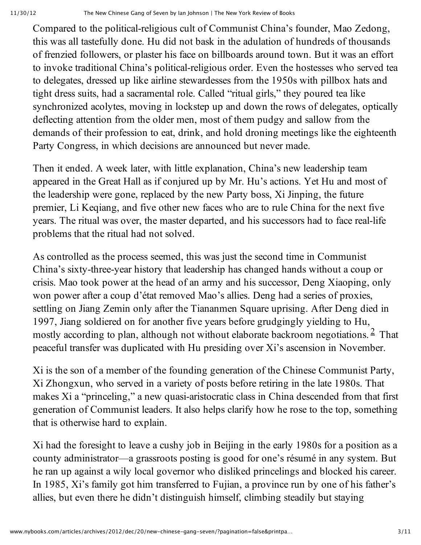Compared to the political-religious cult of Communist China's founder, Mao Zedong, this was all tastefully done. Hu did not bask in the adulation of hundreds of thousands of frenzied followers, or plaster his face on billboards around town. But it was an effort to invoke traditional China's political-religious order. Even the hostesses who served tea to delegates, dressed up like airline stewardesses from the 1950s with pillbox hats and tight dress suits, had a sacramental role. Called "ritual girls," they poured tea like synchronized acolytes, moving in lockstep up and down the rows of delegates, optically deflecting attention from the older men, most of them pudgy and sallow from the demands of their profession to eat, drink, and hold droning meetings like the eighteenth Party Congress, in which decisions are announced but never made.

Then it ended. A week later, with little explanation, China's new leadership team appeared in the Great Hall as if conjured up by Mr. Hu's actions. Yet Hu and most of the leadership were gone, replaced by the new Party boss, Xi Jinping, the future premier, Li Keqiang, and five other new faces who are to rule China for the next five years. The ritual was over, the master departed, and his successors had to face real-life problems that the ritual had not solved.

As controlled as the process seemed, this was just the second time in Communist China's sixty-three-year history that leadership has changed hands without a coup or crisis. Mao took power at the head of an army and his successor, Deng Xiaoping, only won power after a coup d'état removed Mao's allies. Deng had a series of proxies, settling on Jiang Zemin only after the Tiananmen Square uprising. After Deng died in 1997, Jiang soldiered on for another five years before grudgingly yielding to Hu, mostly according to plan, although not without elaborate backroom negotiations. <sup>[2](http://www.nybooks.com/articles/archives/2012/dec/20/new-chinese-gang-seven/?pagination=false&printpage=true#fn-2)</sup> That peaceful transfer was duplicated with Hu presiding over Xi's ascension in November.

Xi is the son of a member of the founding generation of the Chinese Communist Party, Xi Zhongxun, who served in a variety of posts before retiring in the late 1980s. That makes Xi a "princeling," a new quasi-aristocratic class in China descended from that first generation of Communist leaders. It also helps clarify how he rose to the top, something that is otherwise hard to explain.

Xi had the foresight to leave a cushy job in Beijing in the early 1980s for a position as a county administrator—a grassroots posting is good for one's résumé in any system. But he ran up against a wily local governor who disliked princelings and blocked his career. In 1985, Xi's family got him transferred to Fujian, a province run by one of his father's allies, but even there he didn't distinguish himself, climbing steadily but staying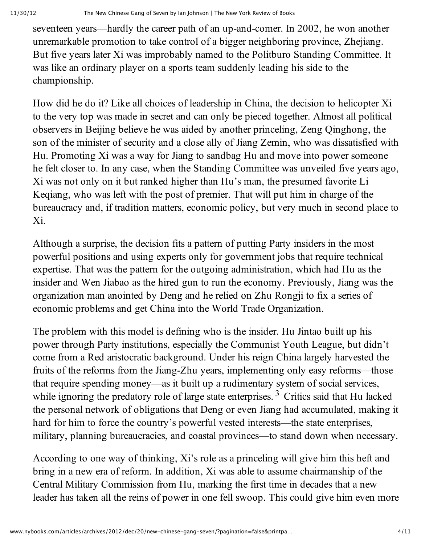seventeen years—hardly the career path of an up-and-comer. In 2002, he won another unremarkable promotion to take control of a bigger neighboring province, Zhejiang. But five years later Xi was improbably named to the Politburo Standing Committee. It was like an ordinary player on a sports team suddenly leading his side to the championship.

How did he do it? Like all choices of leadership in China, the decision to helicopter Xi to the very top was made in secret and can only be pieced together. Almost all political observers in Beijing believe he was aided by another princeling, Zeng Qinghong, the son of the minister of security and a close ally of Jiang Zemin, who was dissatisfied with Hu. Promoting Xi was a way for Jiang to sandbag Hu and move into power someone he felt closer to. In any case, when the Standing Committee was unveiled five years ago, Xi was not only on it but ranked higher than Hu's man, the presumed favorite Li Keqiang, who was left with the post of premier. That will put him in charge of the bureaucracy and, if tradition matters, economic policy, but very much in second place to Xi.

Although a surprise, the decision fits a pattern of putting Party insiders in the most powerful positions and using experts only for government jobs that require technical expertise. That was the pattern for the outgoing administration, which had Hu as the insider and Wen Jiabao as the hired gun to run the economy. Previously, Jiang was the organization man anointed by Deng and he relied on Zhu Rongji to fix a series of economic problems and get China into the World Trade Organization.

The problem with this model is defining who is the insider. Hu Jintao built up his power through Party institutions, especially the Communist Youth League, but didn't come from a Red aristocratic background. Under his reign China largely harvested the fruits of the reforms from the Jiang-Zhu years, implementing only easy reforms—those that require spending money—as it built up a rudimentary system of social services, while ignoring the predatory role of large state enterprises.  $\frac{3}{2}$  $\frac{3}{2}$  $\frac{3}{2}$  Critics said that Hu lacked the personal network of obligations that Deng or even Jiang had accumulated, making it hard for him to force the country's powerful vested interests—the state enterprises, military, planning bureaucracies, and coastal provinces—to stand down when necessary.

According to one way of thinking, Xi's role as a princeling will give him this heft and bring in a new era of reform. In addition, Xi was able to assume chairmanship of the Central Military Commission from Hu, marking the first time in decades that a new leader has taken all the reins of power in one fell swoop. This could give him even more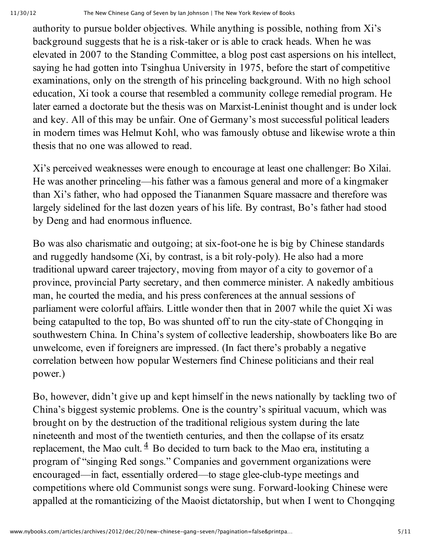authority to pursue bolder objectives. While anything is possible, nothing from Xi's background suggests that he is a risk-taker or is able to crack heads. When he was elevated in 2007 to the Standing Committee, a blog post cast aspersions on his intellect, saying he had gotten into Tsinghua University in 1975, before the start of competitive examinations, only on the strength of his princeling background. With no high school education, Xi took a course that resembled a community college remedial program. He later earned a doctorate but the thesis was on Marxist-Leninist thought and is under lock and key. All of this may be unfair. One of Germany's most successful political leaders in modern times was Helmut Kohl, who was famously obtuse and likewise wrote a thin thesis that no one was allowed to read.

Xi's perceived weaknesses were enough to encourage at least one challenger: Bo Xilai. He was another princeling—his father was a famous general and more of a kingmaker than Xi's father, who had opposed the Tiananmen Square massacre and therefore was largely sidelined for the last dozen years of his life. By contrast, Bo's father had stood by Deng and had enormous influence.

Bo was also charismatic and outgoing; at six-foot-one he is big by Chinese standards and ruggedly handsome  $(X_i, y_i)$  contrast, is a bit roly-poly). He also had a more traditional upward career trajectory, moving from mayor of a city to governor of a province, provincial Party secretary, and then commerce minister. A nakedly ambitious man, he courted the media, and his press conferences at the annual sessions of parliament were colorful affairs. Little wonder then that in 2007 while the quiet Xi was being catapulted to the top, Bo was shunted off to run the city-state of Chongqing in southwestern China. In China's system of collective leadership, showboaters like Bo are unwelcome, even if foreigners are impressed. (In fact there's probably a negative correlation between how popular Westerners find Chinese politicians and their real power.)

Bo, however, didn't give up and kept himself in the news nationally by tackling two of China's biggest systemic problems. One is the country's spiritual vacuum, which was brought on by the destruction of the traditional religious system during the late nineteenth and most of the twentieth centuries, and then the collapse of its ersatz replacement, the Mao cult.  $4$  Bo decided to turn back to the Mao era, instituting a program of "singing Red songs." Companies and government organizations were encouraged—in fact, essentially ordered—to stage glee-club-type meetings and competitions where old Communist songs were sung. Forward-looking Chinese were appalled at the romanticizing of the Maoist dictatorship, but when I went to Chongqing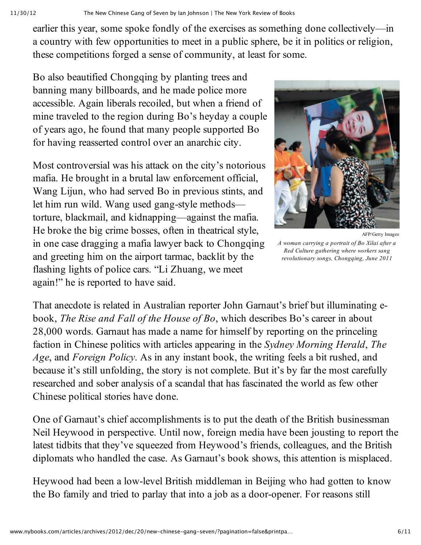earlier this year, some spoke fondly of the exercises as something done collectively—in a country with few opportunities to meet in a public sphere, be it in politics or religion, these competitions forged a sense of community, at least for some.

Bo also beautified Chongqing by planting trees and banning many billboards, and he made police more accessible. Again liberals recoiled, but when a friend of mine traveled to the region during Bo's heyday a couple of years ago, he found that many people supported Bo for having reasserted control over an anarchic city.

Most controversial was his attack on the city's notorious mafia. He brought in a brutal law enforcement official, Wang Lijun, who had served Bo in previous stints, and let him run wild. Wang used gang-style methods torture, blackmail, and kidnapping—against the mafia. He broke the big crime bosses, often in theatrical style, in one case dragging a mafia lawyer back to Chongqing and greeting him on the airport tarmac, backlit by the flashing lights of police cars. "Li Zhuang, we meet again!" he is reported to have said.



AFP/Getty Images

*A woman carrying a portrait of Bo Xilai after a Red Culture gathering where workers sang revolutionary songs, Chongqing, June 2011*

That anecdote is related in Australian reporter John Garnaut's brief but illuminating ebook, *The Rise and Fall of the House of Bo*, which describes Bo's career in about 28,000 words. Garnaut has made a name for himself by reporting on the princeling faction in Chinese politics with articles appearing in the *Sydney Morning Herald*, *The Age*, and *Foreign Policy*. As in any instant book, the writing feels a bit rushed, and because it's still unfolding, the story is not complete. But it's by far the most carefully researched and sober analysis of a scandal that has fascinated the world as few other Chinese political stories have done.

One of Garnaut's chief accomplishments is to put the death of the British businessman Neil Heywood in perspective. Until now, foreign media have been jousting to report the latest tidbits that they've squeezed from Heywood's friends, colleagues, and the British diplomats who handled the case. As Garnaut's book shows, this attention is misplaced.

Heywood had been a low-level British middleman in Beijing who had gotten to know the Bo family and tried to parlay that into a job as a door-opener. For reasons still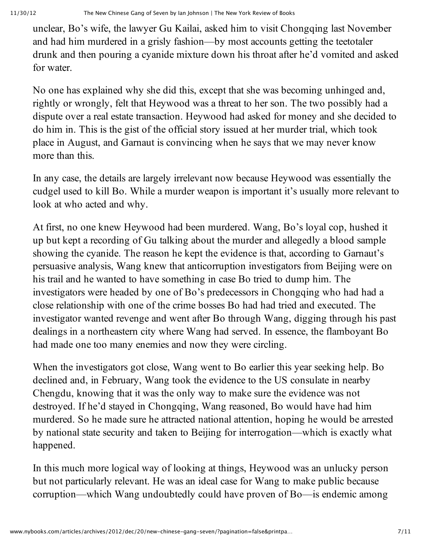unclear, Bo's wife, the lawyer Gu Kailai, asked him to visit Chongqing last November and had him murdered in a grisly fashion—by most accounts getting the teetotaler drunk and then pouring a cyanide mixture down his throat after he'd vomited and asked for water.

No one has explained why she did this, except that she was becoming unhinged and, rightly or wrongly, felt that Heywood was a threat to her son. The two possibly had a dispute over a real estate transaction. Heywood had asked for money and she decided to do him in. This is the gist of the official story issued at her murder trial, which took place in August, and Garnaut is convincing when he says that we may never know more than this.

In any case, the details are largely irrelevant now because Heywood was essentially the cudgel used to kill Bo. While a murder weapon is important it's usually more relevant to look at who acted and why.

At first, no one knew Heywood had been murdered. Wang, Bo's loyal cop, hushed it up but kept a recording of Gu talking about the murder and allegedly a blood sample showing the cyanide. The reason he kept the evidence is that, according to Garnaut's persuasive analysis, Wang knew that anticorruption investigators from Beijing were on his trail and he wanted to have something in case Bo tried to dump him. The investigators were headed by one of Bo's predecessors in Chongqing who had had a close relationship with one of the crime bosses Bo had had tried and executed. The investigator wanted revenge and went after Bo through Wang, digging through his past dealings in a northeastern city where Wang had served. In essence, the flamboyant Bo had made one too many enemies and now they were circling.

When the investigators got close, Wang went to Bo earlier this year seeking help. Bo declined and, in February, Wang took the evidence to the US consulate in nearby Chengdu, knowing that it was the only way to make sure the evidence was not destroyed. If he'd stayed in Chongqing, Wang reasoned, Bo would have had him murdered. So he made sure he attracted national attention, hoping he would be arrested by national state security and taken to Beijing for interrogation—which is exactly what happened.

In this much more logical way of looking at things, Heywood was an unlucky person but not particularly relevant. He was an ideal case for Wang to make public because corruption—which Wang undoubtedly could have proven of Bo—is endemic among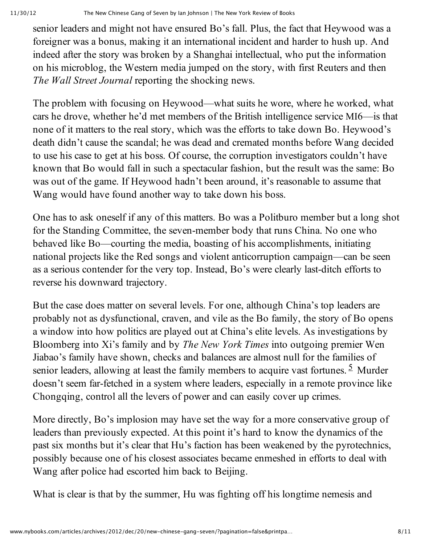senior leaders and might not have ensured Bo's fall. Plus, the fact that Heywood was a foreigner was a bonus, making it an international incident and harder to hush up. And indeed after the story was broken by a Shanghai intellectual, who put the information on his microblog, the Western media jumped on the story, with first Reuters and then *The Wall Street Journal* reporting the shocking news.

The problem with focusing on Heywood—what suits he wore, where he worked, what cars he drove, whether he'd met members of the British intelligence service MI6—is that none of it matters to the real story, which was the efforts to take down Bo. Heywood's death didn't cause the scandal; he was dead and cremated months before Wang decided to use his case to get at his boss. Of course, the corruption investigators couldn't have known that Bo would fall in such a spectacular fashion, but the result was the same: Bo was out of the game. If Heywood hadn't been around, it's reasonable to assume that Wang would have found another way to take down his boss.

One has to ask oneself if any of this matters. Bo was a Politburo member but a long shot for the Standing Committee, the seven-member body that runs China. No one who behaved like Bo—courting the media, boasting of his accomplishments, initiating national projects like the Red songs and violent anticorruption campaign—can be seen as a serious contender for the very top. Instead, Bo's were clearly last-ditch efforts to reverse his downward trajectory.

But the case does matter on several levels. For one, although China's top leaders are probably not as dysfunctional, craven, and vile as the Bo family, the story of Bo opens a window into how politics are played out at China's elite levels. As investigations by Bloomberg into Xi's family and by *The New York Times* into outgoing premier Wen Jiabao's family have shown, checks and balances are almost null for the families of senior leaders, allowing at least the family members to acquire vast fortunes. <sup>[5](http://www.nybooks.com/articles/archives/2012/dec/20/new-chinese-gang-seven/?pagination=false&printpage=true#fn-5)</sup> Murder doesn't seem far-fetched in a system where leaders, especially in a remote province like Chongqing, control all the levers of power and can easily cover up crimes.

More directly, Bo's implosion may have set the way for a more conservative group of leaders than previously expected. At this point it's hard to know the dynamics of the past six months but it's clear that Hu's faction has been weakened by the pyrotechnics, possibly because one of his closest associates became enmeshed in efforts to deal with Wang after police had escorted him back to Beijing.

What is clear is that by the summer, Hu was fighting off his longtime nemesis and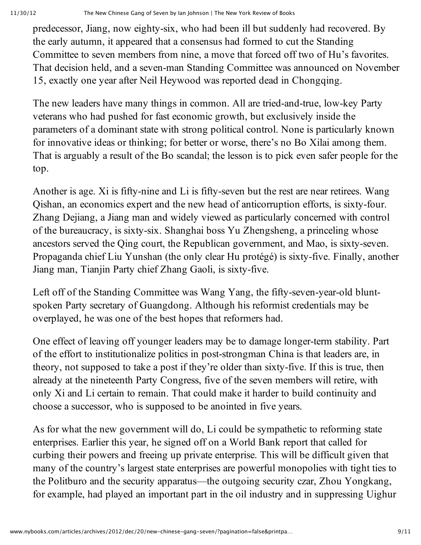predecessor, Jiang, now eighty-six, who had been ill but suddenly had recovered. By the early autumn, it appeared that a consensus had formed to cut the Standing Committee to seven members from nine, a move that forced off two of Hu's favorites. That decision held, and a seven-man Standing Committee was announced on November 15, exactly one year after Neil Heywood was reported dead in Chongqing.

The new leaders have many things in common. All are tried-and-true, low-key Party veterans who had pushed for fast economic growth, but exclusively inside the parameters of a dominant state with strong political control. None is particularly known for innovative ideas or thinking; for better or worse, there's no Bo Xilai among them. That is arguably a result of the Bo scandal; the lesson is to pick even safer people for the top.

Another is age. Xi is fifty-nine and Li is fifty-seven but the rest are near retirees. Wang Qishan, an economics expert and the new head of anticorruption efforts, is sixty-four. Zhang Dejiang, a Jiang man and widely viewed as particularly concerned with control of the bureaucracy, is sixty-six. Shanghai boss Yu Zhengsheng, a princeling whose ancestors served the Qing court, the Republican government, and Mao, is sixty-seven. Propaganda chief Liu Yunshan (the only clear Hu protégé) is sixty-five. Finally, another Jiang man, Tianjin Party chief Zhang Gaoli, is sixty-five.

Left off of the Standing Committee was Wang Yang, the fifty-seven-year-old bluntspoken Party secretary of Guangdong. Although his reformist credentials may be overplayed, he was one of the best hopes that reformers had.

One effect of leaving off younger leaders may be to damage longer-term stability. Part of the effort to institutionalize politics in post-strongman China is that leaders are, in theory, not supposed to take a post if they're older than sixty-five. If this is true, then already at the nineteenth Party Congress, five of the seven members will retire, with only Xi and Li certain to remain. That could make it harder to build continuity and choose a successor, who is supposed to be anointed in five years.

As for what the new government will do, Li could be sympathetic to reforming state enterprises. Earlier this year, he signed off on a World Bank report that called for curbing their powers and freeing up private enterprise. This will be difficult given that many of the country's largest state enterprises are powerful monopolies with tight ties to the Politburo and the security apparatus—the outgoing security czar, Zhou Yongkang, for example, had played an important part in the oil industry and in suppressing Uighur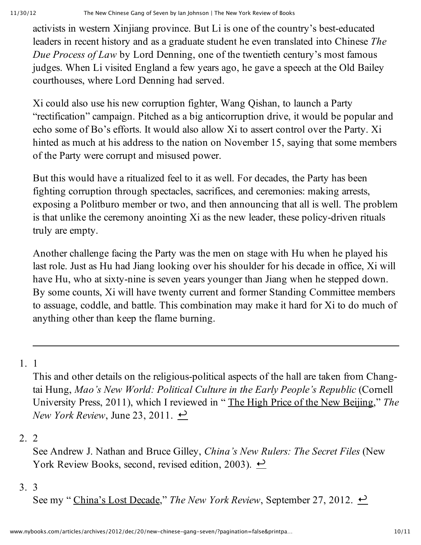activists in western Xinjiang province. But Li is one of the country's best-educated leaders in recent history and as a graduate student he even translated into Chinese *The Due Process of Law* by Lord Denning, one of the twentieth century's most famous judges. When Li visited England a few years ago, he gave a speech at the Old Bailey courthouses, where Lord Denning had served.

Xi could also use his new corruption fighter, Wang Qishan, to launch a Party "rectification" campaign. Pitched as a big anticorruption drive, it would be popular and echo some of Bo's efforts. It would also allow Xi to assert control over the Party. Xi hinted as much at his address to the nation on November 15, saying that some members of the Party were corrupt and misused power.

But this would have a ritualized feel to it as well. For decades, the Party has been fighting corruption through spectacles, sacrifices, and ceremonies: making arrests, exposing a Politburo member or two, and then announcing that all is well. The problem is that unlike the ceremony anointing Xi as the new leader, these policy-driven rituals truly are empty.

Another challenge facing the Party was the men on stage with Hu when he played his last role. Just as Hu had Jiang looking over his shoulder for his decade in office, Xi will have Hu, who at sixty-nine is seven years younger than Jiang when he stepped down. By some counts, Xi will have twenty current and former Standing Committee members to assuage, coddle, and battle. This combination may make it hard for Xi to do much of anything other than keep the flame burning.

1. 1

This and other details on the religious-political aspects of the hall are taken from Changtai Hung, *Mao's New World: Political Culture in the Early People's Republic* (Cornell University Press, 2011), which I reviewed in " The High Price of the New [Beijing](http://www.nybooks.com/articles/archives/2011/jun/23/high-price-new-beijing/)," *The New York Review*, June 23, 2011.  $\rightarrow$ 

# 2. 2

See Andrew J. Nathan and Bruce Gilley, *China's New Rulers: The Secret Files* (New York Review Books, second, revised edition, 2003).  $\rightarrow$ 

# 3. 3

See my " [China's](http://www.nybooks.com/articles/archives/2012/sep/27/chinas-lost-decade/) Lost Decade," The New York Review, September 27, 2012.  $\leftrightarrow$